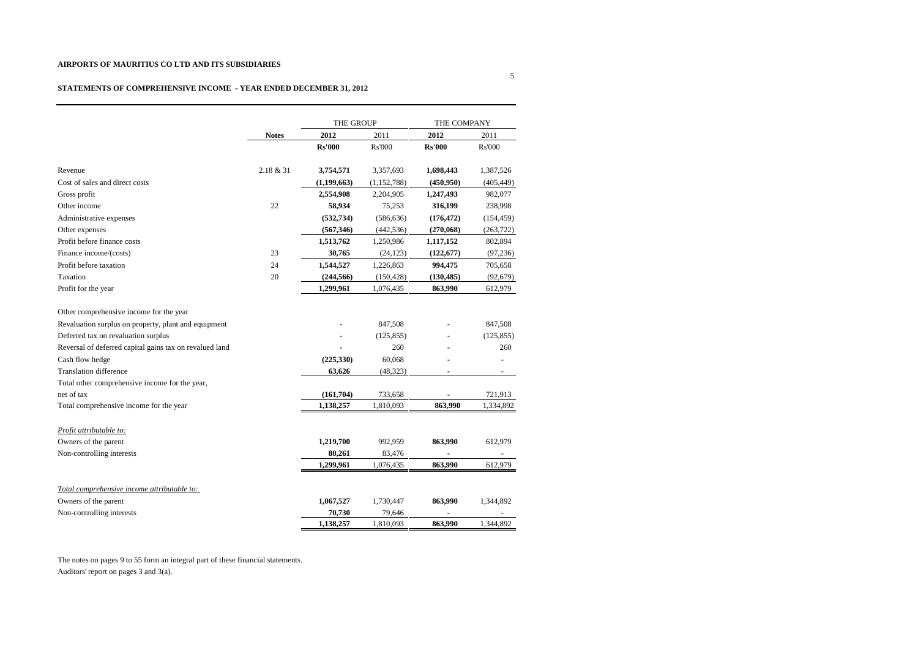## **STATEMENTS OF COMPREHENSIVE INCOME - YEAR ENDED DECEMBER 31, 2012**

|                                                         |              | THE GROUP     |               | THE COMPANY   |               |
|---------------------------------------------------------|--------------|---------------|---------------|---------------|---------------|
|                                                         | <b>Notes</b> | 2012          | 2011          | 2012          | 2011          |
|                                                         |              | <b>Rs'000</b> | Rs'000        | <b>Rs'000</b> | <b>Rs'000</b> |
| Revenue                                                 | 2.18 & 31    | 3,754,571     | 3,357,693     | 1,698,443     | 1,387,526     |
| Cost of sales and direct costs                          |              | (1,199,663)   | (1, 152, 788) | (450, 950)    | (405, 449)    |
| Gross profit                                            |              | 2,554,908     | 2,204,905     | 1,247,493     | 982,077       |
| Other income                                            | 22           | 58,934        | 75,253        | 316,199       | 238,998       |
| Administrative expenses                                 |              | (532, 734)    | (586, 636)    | (176, 472)    | (154, 459)    |
| Other expenses                                          |              | (567, 346)    | (442, 536)    | (270,068)     | (263, 722)    |
| Profit before finance costs                             |              | 1,513,762     | 1,250,986     | 1,117,152     | 802,894       |
| Finance income/(costs)                                  | 23           | 30,765        | (24, 123)     | (122, 677)    | (97, 236)     |
| Profit before taxation                                  | 24           | 1,544,527     | 1,226,863     | 994,475       | 705,658       |
| Taxation                                                | 20           | (244, 566)    | (150, 428)    | (130, 485)    | (92, 679)     |
| Profit for the year                                     |              | 1,299,961     | 1,076,435     | 863,990       | 612,979       |
| Other comprehensive income for the year                 |              |               |               |               |               |
| Revaluation surplus on property, plant and equipment    |              |               | 847,508       |               | 847,508       |
| Deferred tax on revaluation surplus                     |              |               | (125, 855)    |               | (125, 855)    |
| Reversal of deferred capital gains tax on revalued land |              |               | 260           |               | 260           |
| Cash flow hedge                                         |              | (225,330)     | 60,068        |               |               |
| <b>Translation difference</b>                           |              | 63.626        | (48, 323)     |               |               |
| Total other comprehensive income for the year,          |              |               |               |               |               |
| net of tax                                              |              | (161,704)     | 733,658       |               | 721,913       |
| Total comprehensive income for the year                 |              | 1,138,257     | 1,810,093     | 863,990       | 1,334,892     |
| Profit attributable to:                                 |              |               |               |               |               |
| Owners of the parent                                    |              | 1,219,700     | 992,959       | 863,990       | 612,979       |
| Non-controlling interests                               |              | 80,261        | 83,476        |               |               |
|                                                         |              | 1,299,961     | 1,076,435     | 863,990       | 612,979       |
| Total comprehensive income attributable to:             |              |               |               |               |               |
| Owners of the parent                                    |              | 1,067,527     | 1,730,447     | 863,990       | 1,344,892     |
| Non-controlling interests                               |              | 70,730        | 79,646        |               |               |
|                                                         |              | 1,138,257     | 1,810,093     | 863,990       | 1,344,892     |

The notes on pages 9 to 55 form an integral part of these financial statements. Auditors' report on pages 3 and 3(a).